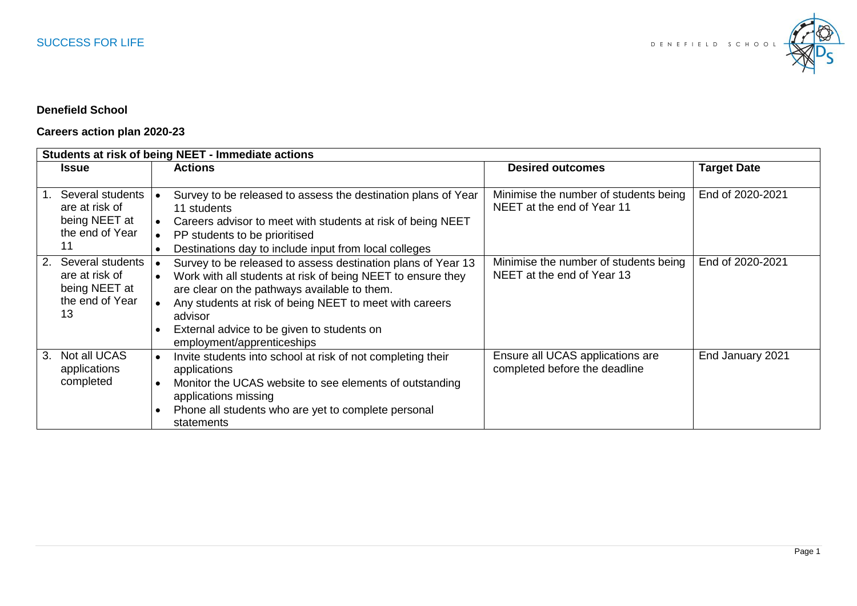

## **Denefield School**

## **Careers action plan 2020-23**

| Students at risk of being NEET - Immediate actions |                     |           |                                                               |                                       |                    |
|----------------------------------------------------|---------------------|-----------|---------------------------------------------------------------|---------------------------------------|--------------------|
|                                                    | <b>Issue</b>        |           | <b>Actions</b>                                                | <b>Desired outcomes</b>               | <b>Target Date</b> |
|                                                    |                     |           |                                                               |                                       |                    |
|                                                    | Several students    |           | Survey to be released to assess the destination plans of Year | Minimise the number of students being | End of 2020-2021   |
|                                                    | are at risk of      |           | 11 students                                                   | NEET at the end of Year 11            |                    |
|                                                    | being NEET at       |           | Careers advisor to meet with students at risk of being NEET   |                                       |                    |
|                                                    | the end of Year     |           | PP students to be prioritised                                 |                                       |                    |
|                                                    | 11                  | $\bullet$ | Destinations day to include input from local colleges         |                                       |                    |
|                                                    | 2. Several students |           | Survey to be released to assess destination plans of Year 13  | Minimise the number of students being | End of 2020-2021   |
|                                                    | are at risk of      |           | Work with all students at risk of being NEET to ensure they   | NEET at the end of Year 13            |                    |
|                                                    | being NEET at       |           | are clear on the pathways available to them.                  |                                       |                    |
|                                                    | the end of Year     |           | Any students at risk of being NEET to meet with careers       |                                       |                    |
|                                                    | 13                  |           | advisor                                                       |                                       |                    |
|                                                    |                     |           | External advice to be given to students on                    |                                       |                    |
|                                                    |                     |           | employment/apprenticeships                                    |                                       |                    |
| 3.                                                 | Not all UCAS        | $\bullet$ | Invite students into school at risk of not completing their   | Ensure all UCAS applications are      | End January 2021   |
|                                                    | applications        |           | applications                                                  | completed before the deadline         |                    |
|                                                    | completed           | $\bullet$ | Monitor the UCAS website to see elements of outstanding       |                                       |                    |
|                                                    |                     |           | applications missing                                          |                                       |                    |
|                                                    |                     |           | Phone all students who are yet to complete personal           |                                       |                    |
|                                                    |                     |           | statements                                                    |                                       |                    |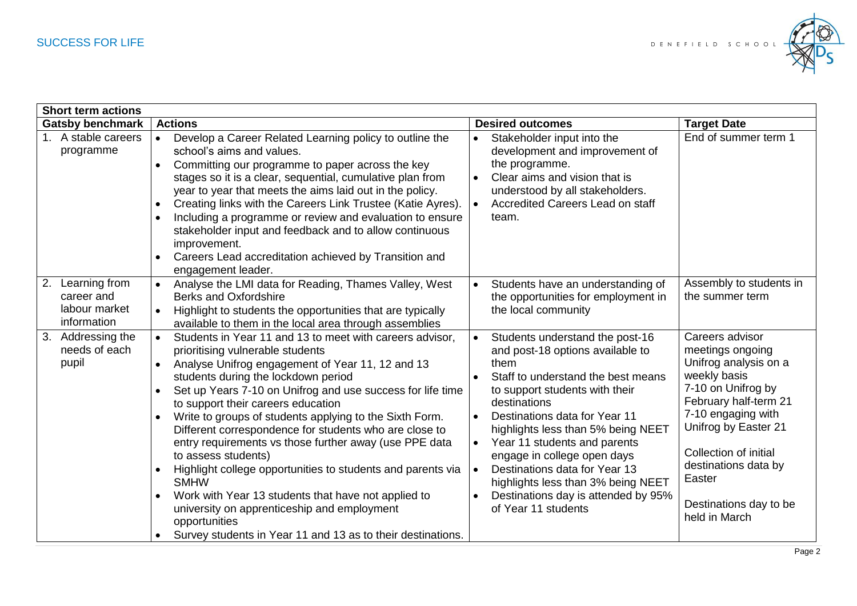

| <b>Short term actions</b>                                         |                                                                                                                                                                                                                                                                                                                                                                                                                                                                                                                                                                                                                                                                                                                                                                                    |                                                                                                                                                                                                                                                                                                                                                                                                                                                                                                                              |                                                                                                                                                                                                                                                                                 |  |  |  |  |
|-------------------------------------------------------------------|------------------------------------------------------------------------------------------------------------------------------------------------------------------------------------------------------------------------------------------------------------------------------------------------------------------------------------------------------------------------------------------------------------------------------------------------------------------------------------------------------------------------------------------------------------------------------------------------------------------------------------------------------------------------------------------------------------------------------------------------------------------------------------|------------------------------------------------------------------------------------------------------------------------------------------------------------------------------------------------------------------------------------------------------------------------------------------------------------------------------------------------------------------------------------------------------------------------------------------------------------------------------------------------------------------------------|---------------------------------------------------------------------------------------------------------------------------------------------------------------------------------------------------------------------------------------------------------------------------------|--|--|--|--|
| <b>Actions</b><br><b>Gatsby benchmark</b>                         |                                                                                                                                                                                                                                                                                                                                                                                                                                                                                                                                                                                                                                                                                                                                                                                    | <b>Desired outcomes</b>                                                                                                                                                                                                                                                                                                                                                                                                                                                                                                      | <b>Target Date</b>                                                                                                                                                                                                                                                              |  |  |  |  |
| 1. A stable careers<br>programme                                  | Develop a Career Related Learning policy to outline the<br>$\bullet$<br>school's aims and values.<br>Committing our programme to paper across the key<br>$\bullet$<br>stages so it is a clear, sequential, cumulative plan from<br>year to year that meets the aims laid out in the policy.<br>Creating links with the Careers Link Trustee (Katie Ayres).<br>$\bullet$<br>Including a programme or review and evaluation to ensure<br>$\bullet$<br>stakeholder input and feedback and to allow continuous<br>improvement.<br>Careers Lead accreditation achieved by Transition and<br>engagement leader.                                                                                                                                                                          | Stakeholder input into the<br>$\bullet$<br>development and improvement of<br>the programme.<br>Clear aims and vision that is<br>$\bullet$<br>understood by all stakeholders.<br>Accredited Careers Lead on staff<br>$\bullet$<br>team.                                                                                                                                                                                                                                                                                       | End of summer term 1                                                                                                                                                                                                                                                            |  |  |  |  |
| Learning from<br>2.<br>career and<br>labour market<br>information | Analyse the LMI data for Reading, Thames Valley, West<br>$\bullet$<br><b>Berks and Oxfordshire</b><br>Highlight to students the opportunities that are typically<br>available to them in the local area through assemblies                                                                                                                                                                                                                                                                                                                                                                                                                                                                                                                                                         | Students have an understanding of<br>$\bullet$<br>the opportunities for employment in<br>the local community                                                                                                                                                                                                                                                                                                                                                                                                                 | Assembly to students in<br>the summer term                                                                                                                                                                                                                                      |  |  |  |  |
| 3. Addressing the<br>needs of each<br>pupil                       | Students in Year 11 and 13 to meet with careers advisor,<br>prioritising vulnerable students<br>Analyse Unifrog engagement of Year 11, 12 and 13<br>students during the lockdown period<br>Set up Years 7-10 on Unifrog and use success for life time<br>to support their careers education<br>Write to groups of students applying to the Sixth Form.<br>Different correspondence for students who are close to<br>entry requirements vs those further away (use PPE data<br>to assess students)<br>Highlight college opportunities to students and parents via<br><b>SMHW</b><br>Work with Year 13 students that have not applied to<br>$\bullet$<br>university on apprenticeship and employment<br>opportunities<br>Survey students in Year 11 and 13 as to their destinations. | Students understand the post-16<br>$\bullet$<br>and post-18 options available to<br>them<br>Staff to understand the best means<br>$\bullet$<br>to support students with their<br>destinations<br>Destinations data for Year 11<br>$\bullet$<br>highlights less than 5% being NEET<br>Year 11 students and parents<br>$\bullet$<br>engage in college open days<br>Destinations data for Year 13<br>$\bullet$<br>highlights less than 3% being NEET<br>Destinations day is attended by 95%<br>$\bullet$<br>of Year 11 students | Careers advisor<br>meetings ongoing<br>Unifrog analysis on a<br>weekly basis<br>7-10 on Unifrog by<br>February half-term 21<br>7-10 engaging with<br>Unifrog by Easter 21<br>Collection of initial<br>destinations data by<br>Easter<br>Destinations day to be<br>held in March |  |  |  |  |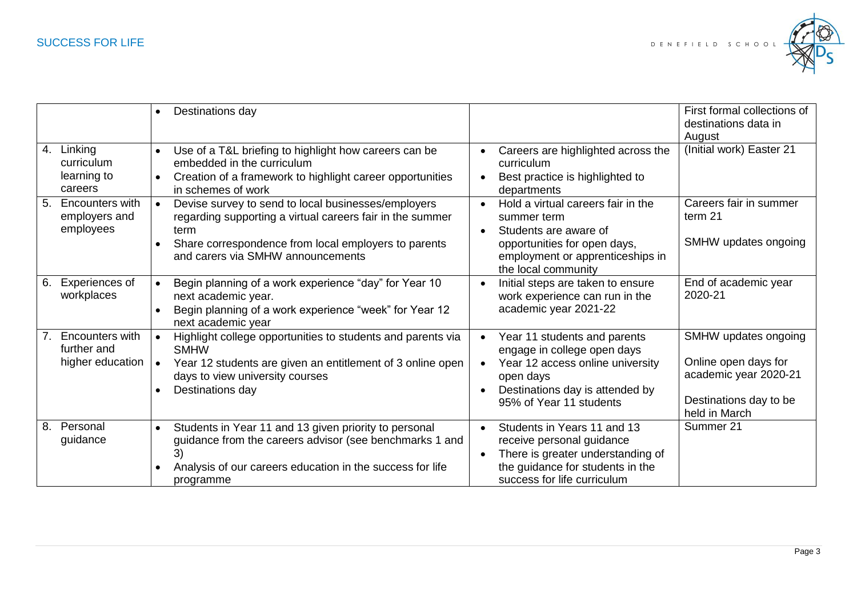

|    |                                                           | $\bullet$              | Destinations day                                                                                                                                                                                                      |                        |                                                                                                                                                                            | First formal collections of<br>destinations data in<br>August                                                    |
|----|-----------------------------------------------------------|------------------------|-----------------------------------------------------------------------------------------------------------------------------------------------------------------------------------------------------------------------|------------------------|----------------------------------------------------------------------------------------------------------------------------------------------------------------------------|------------------------------------------------------------------------------------------------------------------|
|    | 4. Linking<br>curriculum<br>learning to<br>careers        | $\bullet$<br>$\bullet$ | Use of a T&L briefing to highlight how careers can be<br>embedded in the curriculum<br>Creation of a framework to highlight career opportunities<br>in schemes of work                                                |                        | Careers are highlighted across the<br>curriculum<br>Best practice is highlighted to<br>departments                                                                         | (Initial work) Easter 21                                                                                         |
|    | 5. Encounters with<br>employers and<br>employees          | $\bullet$<br>$\bullet$ | Devise survey to send to local businesses/employers<br>regarding supporting a virtual careers fair in the summer<br>term<br>Share correspondence from local employers to parents<br>and carers via SMHW announcements | $\bullet$              | Hold a virtual careers fair in the<br>summer term<br>Students are aware of<br>opportunities for open days,<br>employment or apprenticeships in<br>the local community      | Careers fair in summer<br>term 21<br>SMHW updates ongoing                                                        |
| 6. | <b>Experiences of</b><br>workplaces                       | $\bullet$              | Begin planning of a work experience "day" for Year 10<br>next academic year.<br>Begin planning of a work experience "week" for Year 12<br>next academic year                                                          |                        | Initial steps are taken to ensure<br>work experience can run in the<br>academic year 2021-22                                                                               | End of academic year<br>2020-21                                                                                  |
| 7. | <b>Encounters with</b><br>further and<br>higher education |                        | Highlight college opportunities to students and parents via<br><b>SMHW</b><br>Year 12 students are given an entitlement of 3 online open<br>days to view university courses<br>Destinations day                       |                        | Year 11 students and parents<br>engage in college open days<br>Year 12 access online university<br>open days<br>Destinations day is attended by<br>95% of Year 11 students | SMHW updates ongoing<br>Online open days for<br>academic year 2020-21<br>Destinations day to be<br>held in March |
| 8. | Personal<br>guidance                                      | $\bullet$              | Students in Year 11 and 13 given priority to personal<br>guidance from the careers advisor (see benchmarks 1 and<br>3)<br>Analysis of our careers education in the success for life<br>programme                      | $\bullet$<br>$\bullet$ | Students in Years 11 and 13<br>receive personal guidance<br>There is greater understanding of<br>the guidance for students in the<br>success for life curriculum           | Summer 21                                                                                                        |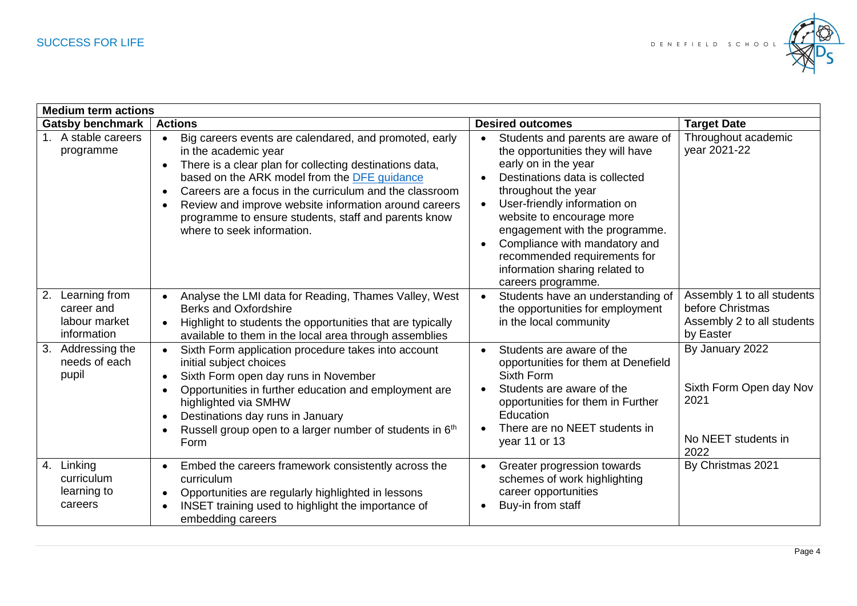

| <b>Medium term actions</b>                                     |                                                               |                                                                                                                                                                                                                                                                                                                                                                                                     |                                                  |                                                                                                                                                                                                                                                                                                                                                                                |                                                                                           |  |  |
|----------------------------------------------------------------|---------------------------------------------------------------|-----------------------------------------------------------------------------------------------------------------------------------------------------------------------------------------------------------------------------------------------------------------------------------------------------------------------------------------------------------------------------------------------------|--------------------------------------------------|--------------------------------------------------------------------------------------------------------------------------------------------------------------------------------------------------------------------------------------------------------------------------------------------------------------------------------------------------------------------------------|-------------------------------------------------------------------------------------------|--|--|
| <b>Gatsby benchmark</b>                                        | <b>Actions</b>                                                |                                                                                                                                                                                                                                                                                                                                                                                                     |                                                  | <b>Desired outcomes</b>                                                                                                                                                                                                                                                                                                                                                        | <b>Target Date</b>                                                                        |  |  |
| 1. A stable careers<br>programme                               | $\bullet$<br>$\bullet$<br>$\bullet$<br>$\bullet$              | Big careers events are calendared, and promoted, early<br>in the academic year<br>There is a clear plan for collecting destinations data,<br>based on the ARK model from the DFE guidance<br>Careers are a focus in the curriculum and the classroom<br>Review and improve website information around careers<br>programme to ensure students, staff and parents know<br>where to seek information. | $\bullet$<br>$\bullet$<br>$\bullet$<br>$\bullet$ | Students and parents are aware of<br>the opportunities they will have<br>early on in the year<br>Destinations data is collected<br>throughout the year<br>User-friendly information on<br>website to encourage more<br>engagement with the programme.<br>Compliance with mandatory and<br>recommended requirements for<br>information sharing related to<br>careers programme. | Throughout academic<br>year 2021-22                                                       |  |  |
| 2. Learning from<br>career and<br>labour market<br>information | $\bullet$<br>$\bullet$                                        | Analyse the LMI data for Reading, Thames Valley, West<br><b>Berks and Oxfordshire</b><br>Highlight to students the opportunities that are typically<br>available to them in the local area through assemblies                                                                                                                                                                                       | $\bullet$                                        | Students have an understanding of<br>the opportunities for employment<br>in the local community                                                                                                                                                                                                                                                                                | Assembly 1 to all students<br>before Christmas<br>Assembly 2 to all students<br>by Easter |  |  |
| 3. Addressing the<br>needs of each<br>pupil                    | $\bullet$<br>$\bullet$<br>$\bullet$<br>$\bullet$<br>$\bullet$ | Sixth Form application procedure takes into account<br>initial subject choices<br>Sixth Form open day runs in November<br>Opportunities in further education and employment are<br>highlighted via SMHW<br>Destinations day runs in January<br>Russell group open to a larger number of students in 6 <sup>th</sup><br>Form                                                                         | $\bullet$                                        | Students are aware of the<br>opportunities for them at Denefield<br>Sixth Form<br>Students are aware of the<br>opportunities for them in Further<br>Education<br>There are no NEET students in<br>year 11 or 13                                                                                                                                                                | By January 2022<br>Sixth Form Open day Nov<br>2021<br>No NEET students in<br>2022         |  |  |
| 4. Linking<br>curriculum<br>learning to<br>careers             | $\bullet$                                                     | Embed the careers framework consistently across the<br>curriculum<br>Opportunities are regularly highlighted in lessons<br>INSET training used to highlight the importance of<br>embedding careers                                                                                                                                                                                                  |                                                  | Greater progression towards<br>schemes of work highlighting<br>career opportunities<br>Buy-in from staff                                                                                                                                                                                                                                                                       | By Christmas 2021                                                                         |  |  |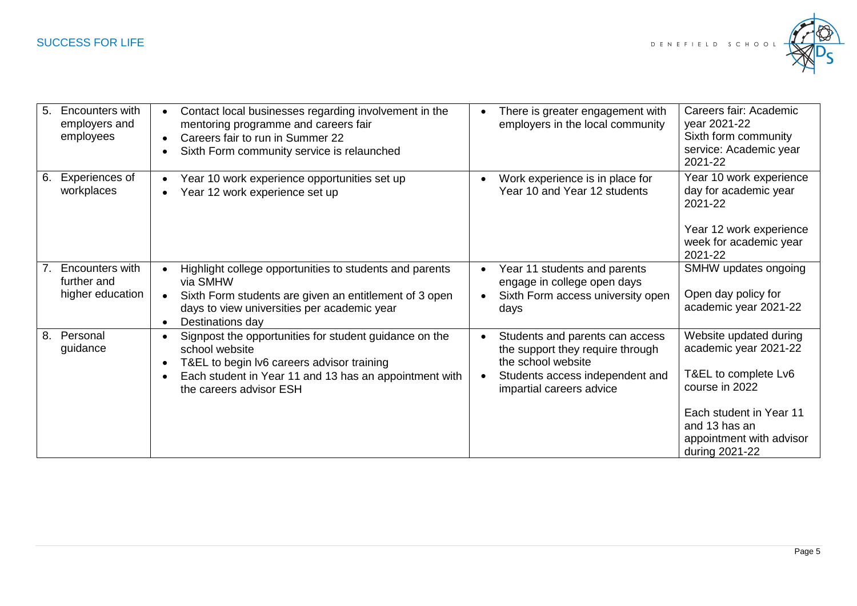

| 5 <sub>1</sub> | <b>Encounters with</b><br>employers and<br>employees      | $\bullet$<br>$\bullet$ | Contact local businesses regarding involvement in the<br>mentoring programme and careers fair<br>Careers fair to run in Summer 22<br>Sixth Form community service is relaunched                             | There is greater engagement with<br>employers in the local community                                                                                     | Careers fair: Academic<br>year 2021-22<br>Sixth form community<br>service: Academic year<br>2021-22                                                                                 |
|----------------|-----------------------------------------------------------|------------------------|-------------------------------------------------------------------------------------------------------------------------------------------------------------------------------------------------------------|----------------------------------------------------------------------------------------------------------------------------------------------------------|-------------------------------------------------------------------------------------------------------------------------------------------------------------------------------------|
| 6.             | Experiences of<br>workplaces                              | $\bullet$<br>$\bullet$ | Year 10 work experience opportunities set up<br>Year 12 work experience set up                                                                                                                              | Work experience is in place for<br>Year 10 and Year 12 students                                                                                          | Year 10 work experience<br>day for academic year<br>2021-22<br>Year 12 work experience<br>week for academic year<br>2021-22                                                         |
|                | <b>Encounters with</b><br>further and<br>higher education | $\bullet$              | Highlight college opportunities to students and parents<br>via SMHW<br>Sixth Form students are given an entitlement of 3 open<br>days to view universities per academic year<br>Destinations day            | Year 11 students and parents<br>engage in college open days<br>Sixth Form access university open<br>days                                                 | SMHW updates ongoing<br>Open day policy for<br>academic year 2021-22                                                                                                                |
| 8.             | Personal<br>guidance                                      | $\bullet$<br>$\bullet$ | Signpost the opportunities for student guidance on the<br>school website<br>T&EL to begin Iv6 careers advisor training<br>Each student in Year 11 and 13 has an appointment with<br>the careers advisor ESH | Students and parents can access<br>the support they require through<br>the school website<br>Students access independent and<br>impartial careers advice | Website updated during<br>academic year 2021-22<br>T&EL to complete Lv6<br>course in 2022<br>Each student in Year 11<br>and 13 has an<br>appointment with advisor<br>during 2021-22 |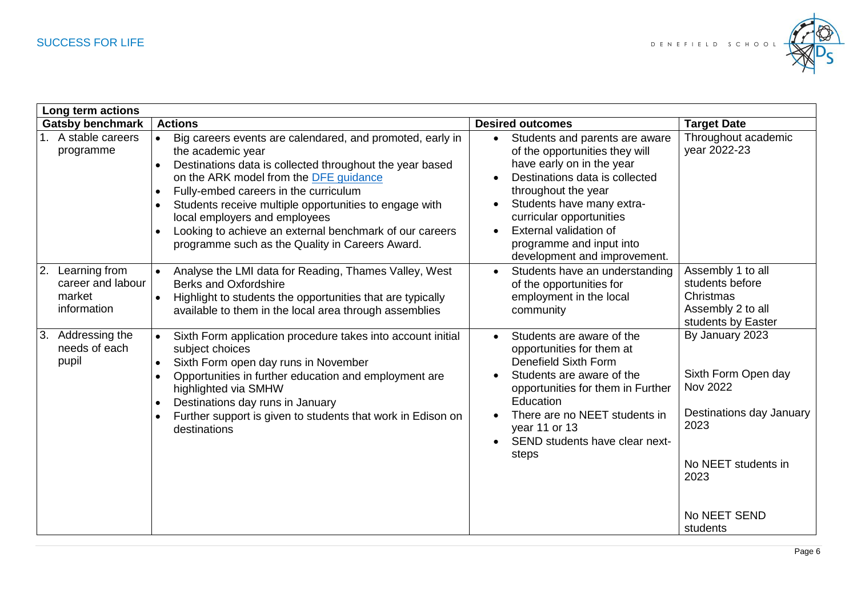

| Long term actions                                                               |                                                                                                                                                                                                                                                                                                                                                                                                                                                                  |                                                                                                                                                                                                                                                                                                                    |                                                                                                                                                          |  |  |  |
|---------------------------------------------------------------------------------|------------------------------------------------------------------------------------------------------------------------------------------------------------------------------------------------------------------------------------------------------------------------------------------------------------------------------------------------------------------------------------------------------------------------------------------------------------------|--------------------------------------------------------------------------------------------------------------------------------------------------------------------------------------------------------------------------------------------------------------------------------------------------------------------|----------------------------------------------------------------------------------------------------------------------------------------------------------|--|--|--|
| <b>Gatsby benchmark</b>                                                         | <b>Actions</b>                                                                                                                                                                                                                                                                                                                                                                                                                                                   | <b>Desired outcomes</b>                                                                                                                                                                                                                                                                                            | <b>Target Date</b>                                                                                                                                       |  |  |  |
| 1. A stable careers<br>programme                                                | Big careers events are calendared, and promoted, early in<br>$\bullet$<br>the academic year<br>Destinations data is collected throughout the year based<br>$\bullet$<br>on the ARK model from the DFE guidance<br>Fully-embed careers in the curriculum<br>Students receive multiple opportunities to engage with<br>local employers and employees<br>Looking to achieve an external benchmark of our careers<br>programme such as the Quality in Careers Award. | Students and parents are aware<br>$\bullet$<br>of the opportunities they will<br>have early on in the year<br>Destinations data is collected<br>throughout the year<br>Students have many extra-<br>curricular opportunities<br>External validation of<br>programme and input into<br>development and improvement. | Throughout academic<br>year 2022-23                                                                                                                      |  |  |  |
| Learning from<br>$\overline{2}$ .<br>career and labour<br>market<br>information | Analyse the LMI data for Reading, Thames Valley, West<br><b>Berks and Oxfordshire</b><br>Highlight to students the opportunities that are typically<br>$\bullet$<br>available to them in the local area through assemblies                                                                                                                                                                                                                                       | Students have an understanding<br>of the opportunities for<br>employment in the local<br>community                                                                                                                                                                                                                 | Assembly 1 to all<br>students before<br>Christmas<br>Assembly 2 to all<br>students by Easter                                                             |  |  |  |
| 3. Addressing the<br>needs of each<br>pupil                                     | Sixth Form application procedure takes into account initial<br>subject choices<br>Sixth Form open day runs in November<br>Opportunities in further education and employment are<br>highlighted via SMHW<br>Destinations day runs in January<br>Further support is given to students that work in Edison on<br>$\bullet$<br>destinations                                                                                                                          | Students are aware of the<br>opportunities for them at<br><b>Denefield Sixth Form</b><br>Students are aware of the<br>opportunities for them in Further<br>Education<br>There are no NEET students in<br>year 11 or 13<br>SEND students have clear next-<br>steps                                                  | By January 2023<br>Sixth Form Open day<br><b>Nov 2022</b><br>Destinations day January<br>2023<br>No NEET students in<br>2023<br>No NEET SEND<br>students |  |  |  |